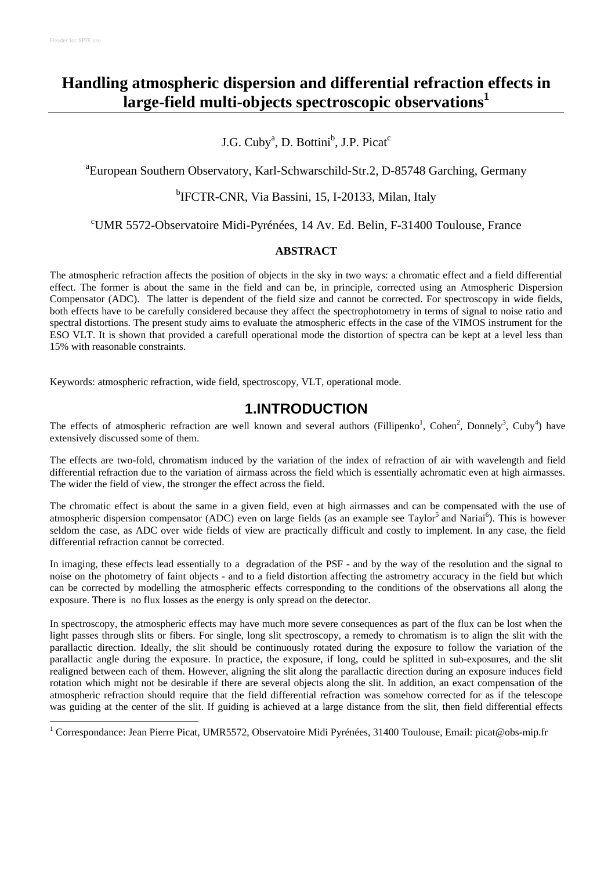# **Handling atmospheric dispersion and differential refraction effects in large-field multi-objects spectroscopic observations<sup>1</sup>**

#### J.G. Cuby<sup>a</sup>, D. Bottini<sup>b</sup>, J.P. Picat<sup>c</sup>

a European Southern Observatory, Karl-Schwarschild-Str.2, D-85748 Garching, Germany

#### <sup>b</sup>IFCTR-CNR, Via Bassini, 15, I-20133, Milan, Italy

#### <sup>c</sup>UMR 5572-Observatoire Midi-Pyrénées, 14 Av. Ed. Belin, F-31400 Toulouse, France

#### **ABSTRACT**

The atmospheric refraction affects the position of objects in the sky in two ways: a chromatic effect and a field differential effect. The former is about the same in the field and can be, in principle, corrected using an Atmospheric Dispersion Compensator (ADC). The latter is dependent of the field size and cannot be corrected. For spectroscopy in wide fields, both effects have to be carefully considered because they affect the spectrophotometry in terms of signal to noise ratio and spectral distortions. The present study aims to evaluate the atmospheric effects in the case of the VIMOS instrument for the ESO VLT. It is shown that provided a carefull operational mode the distortion of spectra can be kept at a level less than 15% with reasonable constraints.

Keywords: atmospheric refraction, wide field, spectroscopy, VLT, operational mode.

### **1.INTRODUCTION**

The effects of atmospheric refraction are well known and several authors (Fillipenko<sup>1</sup>, Cohen<sup>2</sup>, Donnely<sup>3</sup>, Cuby<sup>4</sup>) have extensively discussed some of them.

The effects are two-fold, chromatism induced by the variation of the index of refraction of air with wavelength and field differential refraction due to the variation of airmass across the field which is essentially achromatic even at high airmasses. The wider the field of view, the stronger the effect across the field.

The chromatic effect is about the same in a given field, even at high airmasses and can be compensated with the use of atmospheric dispersion compensator (ADC) even on large fields (as an example see Taylor<sup>5</sup> and Nariai<sup>6</sup>). This is however seldom the case, as ADC over wide fields of view are practically difficult and costly to implement. In any case, the field differential refraction cannot be corrected.

In imaging, these effects lead essentially to a degradation of the PSF - and by the way of the resolution and the signal to noise on the photometry of faint objects - and to a field distortion affecting the astrometry accuracy in the field but which can be corrected by modelling the atmospheric effects corresponding to the conditions of the observations all along the exposure. There is no flux losses as the energy is only spread on the detector.

In spectroscopy, the atmospheric effects may have much more severe consequences as part of the flux can be lost when the light passes through slits or fibers. For single, long slit spectroscopy, a remedy to chromatism is to align the slit with the parallactic direction. Ideally, the slit should be continuously rotated during the exposure to follow the variation of the parallactic angle during the exposure. In practice, the exposure, if long, could be splitted in sub-exposures, and the slit realigned between each of them. However, aligning the slit along the parallactic direction during an exposure induces field rotation which might not be desirable if there are several objects along the slit. In addition, an exact compensation of the atmospheric refraction should require that the field differential refraction was somehow corrected for as if the telescope was guiding at the center of the slit. If guiding is achieved at a large distance from the slit, then field differential effects

 1 Correspondance: Jean Pierre Picat, UMR5572, Observatoire Midi Pyrénées, 31400 Toulouse, Email: picat@obs-mip.fr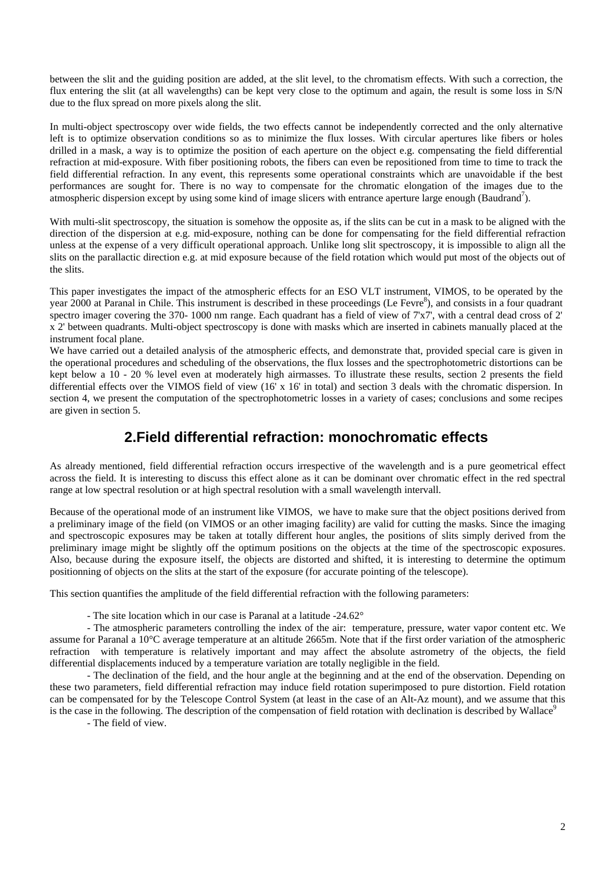between the slit and the guiding position are added, at the slit level, to the chromatism effects. With such a correction, the flux entering the slit (at all wavelengths) can be kept very close to the optimum and again, the result is some loss in S/N due to the flux spread on more pixels along the slit.

In multi-object spectroscopy over wide fields, the two effects cannot be independently corrected and the only alternative left is to optimize observation conditions so as to minimize the flux losses. With circular apertures like fibers or holes drilled in a mask, a way is to optimize the position of each aperture on the object e.g. compensating the field differential refraction at mid-exposure. With fiber positioning robots, the fibers can even be repositioned from time to time to track the field differential refraction. In any event, this represents some operational constraints which are unavoidable if the best performances are sought for. There is no way to compensate for the chromatic elongation of the images due to the atmospheric dispersion except by using some kind of image slicers with entrance aperture large enough (Baudrand<sup>7</sup>).

With multi-slit spectroscopy, the situation is somehow the opposite as, if the slits can be cut in a mask to be aligned with the direction of the dispersion at e.g. mid-exposure, nothing can be done for compensating for the field differential refraction unless at the expense of a very difficult operational approach. Unlike long slit spectroscopy, it is impossible to align all the slits on the parallactic direction e.g. at mid exposure because of the field rotation which would put most of the objects out of the slits.

This paper investigates the impact of the atmospheric effects for an ESO VLT instrument, VIMOS, to be operated by the year 2000 at Paranal in Chile. This instrument is described in these proceedings (Le Fevre<sup>8</sup>), and consists in a four quadrant spectro imager covering the 370- 1000 nm range. Each quadrant has a field of view of 7'x7', with a central dead cross of 2' x 2' between quadrants. Multi-object spectroscopy is done with masks which are inserted in cabinets manually placed at the instrument focal plane.

We have carried out a detailed analysis of the atmospheric effects, and demonstrate that, provided special care is given in the operational procedures and scheduling of the observations, the flux losses and the spectrophotometric distortions can be kept below a 10 - 20 % level even at moderately high airmasses. To illustrate these results, section 2 presents the field differential effects over the VIMOS field of view (16' x 16' in total) and section 3 deals with the chromatic dispersion. In section 4, we present the computation of the spectrophotometric losses in a variety of cases; conclusions and some recipes are given in section 5.

## **2.Field differential refraction: monochromatic effects**

As already mentioned, field differential refraction occurs irrespective of the wavelength and is a pure geometrical effect across the field. It is interesting to discuss this effect alone as it can be dominant over chromatic effect in the red spectral range at low spectral resolution or at high spectral resolution with a small wavelength intervall.

Because of the operational mode of an instrument like VIMOS, we have to make sure that the object positions derived from a preliminary image of the field (on VIMOS or an other imaging facility) are valid for cutting the masks. Since the imaging and spectroscopic exposures may be taken at totally different hour angles, the positions of slits simply derived from the preliminary image might be slightly off the optimum positions on the objects at the time of the spectroscopic exposures. Also, because during the exposure itself, the objects are distorted and shifted, it is interesting to determine the optimum positionning of objects on the slits at the start of the exposure (for accurate pointing of the telescope).

This section quantifies the amplitude of the field differential refraction with the following parameters:

- The site location which in our case is Paranal at a latitude -24.62°

- The atmospheric parameters controlling the index of the air: temperature, pressure, water vapor content etc. We assume for Paranal a 10°C average temperature at an altitude 2665m. Note that if the first order variation of the atmospheric refraction with temperature is relatively important and may affect the absolute astrometry of the objects, the field differential displacements induced by a temperature variation are totally negligible in the field.

- The declination of the field, and the hour angle at the beginning and at the end of the observation. Depending on these two parameters, field differential refraction may induce field rotation superimposed to pure distortion. Field rotation can be compensated for by the Telescope Control System (at least in the case of an Alt-Az mount), and we assume that this is the case in the following. The description of the compensation of field rotation with declination is described by Wallace<sup>9</sup>

- The field of view.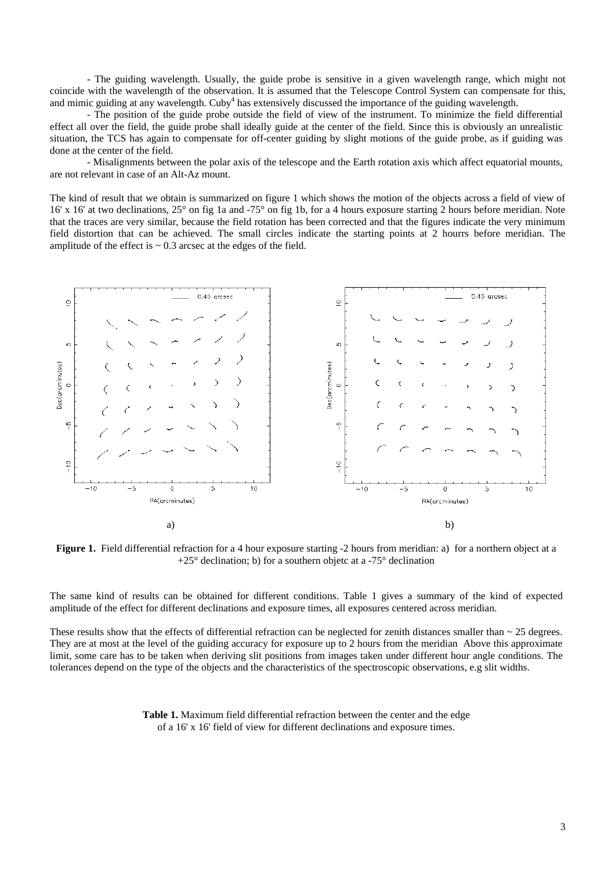- The guiding wavelength. Usually, the guide probe is sensitive in a given wavelength range, which might not coincide with the wavelength of the observation. It is assumed that the Telescope Control System can compensate for this, and mimic guiding at any wavelength. Cuby<sup>4</sup> has extensively discussed the importance of the guiding wavelength.

- The position of the guide probe outside the field of view of the instrument. To minimize the field differential effect all over the field, the guide probe shall ideally guide at the center of the field. Since this is obviously an unrealistic situation, the TCS has again to compensate for off-center guiding by slight motions of the guide probe, as if guiding was done at the center of the field.

- Misalignments between the polar axis of the telescope and the Earth rotation axis which affect equatorial mounts, are not relevant in case of an Alt-Az mount.

The kind of result that we obtain is summarized on figure 1 which shows the motion of the objects across a field of view of 16' x 16' at two declinations, 25° on fig 1a and -75° on fig 1b, for a 4 hours exposure starting 2 hours before meridian. Note that the traces are very similar, because the field rotation has been corrected and that the figures indicate the very minimum field distortion that can be achieved. The small circles indicate the starting points at 2 hourrs before meridian. The amplitude of the effect is  $\sim 0.3$  arcsec at the edges of the field.



**Figure 1.** Field differential refraction for a 4 hour exposure starting -2 hours from meridian: a) for a northern object at a  $+25^{\circ}$  declination; b) for a southern objetc at a -75° declination

The same kind of results can be obtained for different conditions. Table 1 gives a summary of the kind of expected amplitude of the effect for different declinations and exposure times, all exposures centered across meridian.

These results show that the effects of differential refraction can be neglected for zenith distances smaller than  $\sim$  25 degrees. They are at most at the level of the guiding accuracy for exposure up to 2 hours from the meridian Above this approximate limit, some care has to be taken when deriving slit positions from images taken under different hour angle conditions. The tolerances depend on the type of the objects and the characteristics of the spectroscopic observations, e.g slit widths.

> **Table 1.** Maximum field differential refraction between the center and the edge of a 16' x 16' field of view for different declinations and exposure times.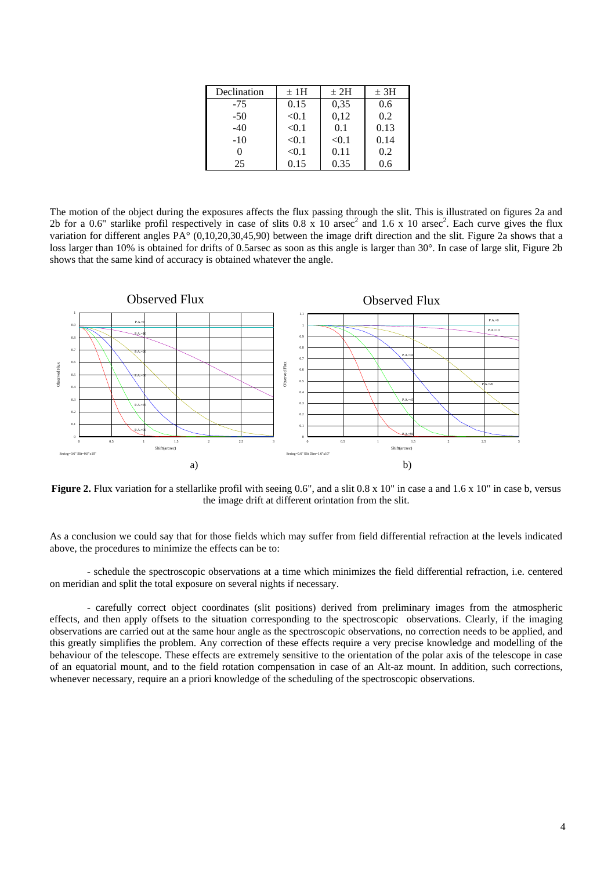| Declination | ±1H   | $+2H$ | ± 3H |
|-------------|-------|-------|------|
| $-75$       | 0.15  | 0,35  | 0.6  |
| $-50$       | < 0.1 | 0,12  | 0.2  |
| $-40$       | < 0.1 | 0.1   | 0.13 |
| $-10$       | < 0.1 | < 0.1 | 0.14 |
|             | < 0.1 | 0.11  | 0.2  |
| 25          | 0.15  | 0.35  | 0.6  |

The motion of the object during the exposures affects the flux passing through the slit. This is illustrated on figures 2a and 2b for a 0.6" starlike profil respectively in case of slits 0.8 x 10 arsec<sup>2</sup> and 1.6 x 10 arsec<sup>2</sup>. Each curve gives the flux variation for different angles  $PA^{\circ}$  (0,10,20,30,45,90) between the image drift direction and the slit. Figure 2a shows that a loss larger than 10% is obtained for drifts of 0.5arsec as soon as this angle is larger than 30°. In case of large slit, Figure 2b shows that the same kind of accuracy is obtained whatever the angle.



**Figure 2.** Flux variation for a stellarlike profil with seeing 0.6", and a slit 0.8 x 10" in case a and 1.6 x 10" in case b, versus the image drift at different orintation from the slit.

As a conclusion we could say that for those fields which may suffer from field differential refraction at the levels indicated above, the procedures to minimize the effects can be to:

- schedule the spectroscopic observations at a time which minimizes the field differential refraction, i.e. centered on meridian and split the total exposure on several nights if necessary.

- carefully correct object coordinates (slit positions) derived from preliminary images from the atmospheric effects, and then apply offsets to the situation corresponding to the spectroscopic observations. Clearly, if the imaging observations are carried out at the same hour angle as the spectroscopic observations, no correction needs to be applied, and this greatly simplifies the problem. Any correction of these effects require a very precise knowledge and modelling of the behaviour of the telescope. These effects are extremely sensitive to the orientation of the polar axis of the telescope in case of an equatorial mount, and to the field rotation compensation in case of an Alt-az mount. In addition, such corrections, whenever necessary, require an a priori knowledge of the scheduling of the spectroscopic observations.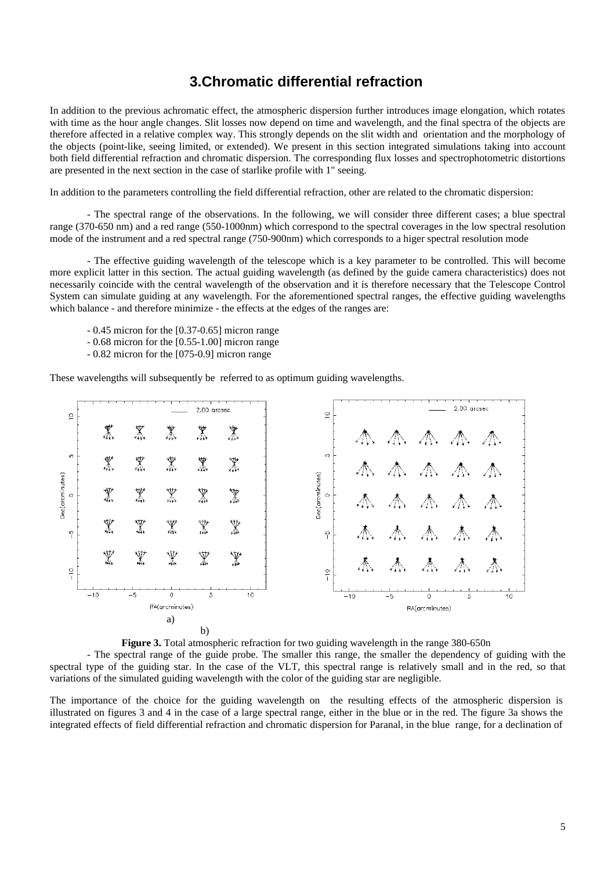### **3.Chromatic differential refraction**

In addition to the previous achromatic effect, the atmospheric dispersion further introduces image elongation, which rotates with time as the hour angle changes. Slit losses now depend on time and wavelength, and the final spectra of the objects are therefore affected in a relative complex way. This strongly depends on the slit width and orientation and the morphology of the objects (point-like, seeing limited, or extended). We present in this section integrated simulations taking into account both field differential refraction and chromatic dispersion. The corresponding flux losses and spectrophotometric distortions are presented in the next section in the case of starlike profile with 1" seeing.

In addition to the parameters controlling the field differential refraction, other are related to the chromatic dispersion:

- The spectral range of the observations. In the following, we will consider three different cases; a blue spectral range (370-650 nm) and a red range (550-1000nm) which correspond to the spectral coverages in the low spectral resolution mode of the instrument and a red spectral range (750-900nm) which corresponds to a higer spectral resolution mode

- The effective guiding wavelength of the telescope which is a key parameter to be controlled. This will become more explicit latter in this section. The actual guiding wavelength (as defined by the guide camera characteristics) does not necessarily coincide with the central wavelength of the observation and it is therefore necessary that the Telescope Control System can simulate guiding at any wavelength. For the aforementioned spectral ranges, the effective guiding wavelengths which balance - and therefore minimize - the effects at the edges of the ranges are:

- 0.45 micron for the [0.37-0.65] micron range
- 0.68 micron for the [0.55-1.00] micron range
- 0.82 micron for the [075-0.9] micron range

These wavelengths will subsequently be referred to as optimum guiding wavelengths.





- The spectral range of the guide probe. The smaller this range, the smaller the dependency of guiding with the spectral type of the guiding star. In the case of the VLT, this spectral range is relatively small and in the red, so that variations of the simulated guiding wavelength with the color of the guiding star are negligible.

The importance of the choice for the guiding wavelength on the resulting effects of the atmospheric dispersion is illustrated on figures 3 and 4 in the case of a large spectral range, either in the blue or in the red. The figure 3a shows the integrated effects of field differential refraction and chromatic dispersion for Paranal, in the blue range, for a declination of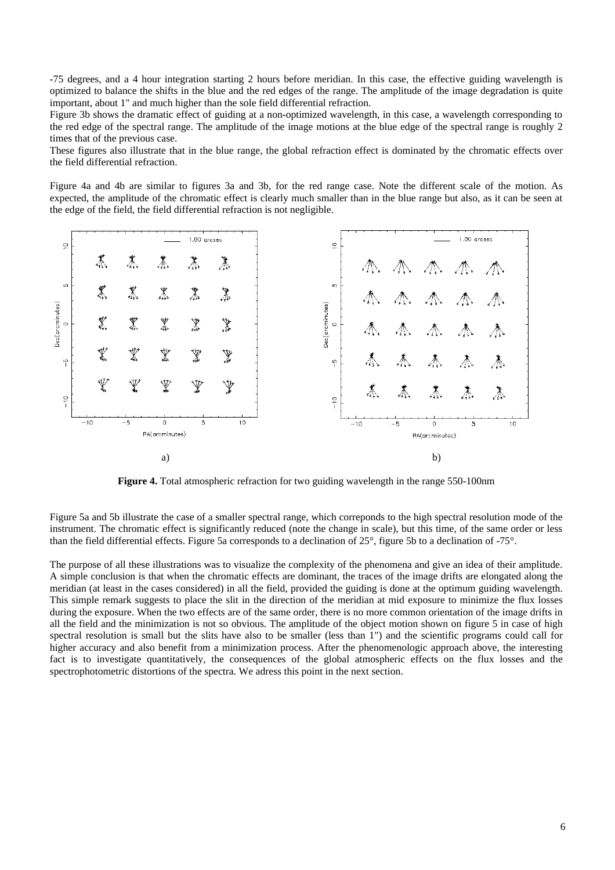-75 degrees, and a 4 hour integration starting 2 hours before meridian. In this case, the effective guiding wavelength is optimized to balance the shifts in the blue and the red edges of the range. The amplitude of the image degradation is quite important, about 1" and much higher than the sole field differential refraction.

Figure 3b shows the dramatic effect of guiding at a non-optimized wavelength, in this case, a wavelength corresponding to the red edge of the spectral range. The amplitude of the image motions at the blue edge of the spectral range is roughly 2 times that of the previous case.

These figures also illustrate that in the blue range, the global refraction effect is dominated by the chromatic effects over the field differential refraction.

Figure 4a and 4b are similar to figures 3a and 3b, for the red range case. Note the different scale of the motion. As expected, the amplitude of the chromatic effect is clearly much smaller than in the blue range but also, as it can be seen at the edge of the field, the field differential refraction is not negligible.



**Figure 4.** Total atmospheric refraction for two guiding wavelength in the range 550-100nm

Figure 5a and 5b illustrate the case of a smaller spectral range, which correponds to the high spectral resolution mode of the instrument. The chromatic effect is significantly reduced (note the change in scale), but this time, of the same order or less than the field differential effects. Figure 5a corresponds to a declination of 25°, figure 5b to a declination of -75°.

The purpose of all these illustrations was to visualize the complexity of the phenomena and give an idea of their amplitude. A simple conclusion is that when the chromatic effects are dominant, the traces of the image drifts are elongated along the meridian (at least in the cases considered) in all the field, provided the guiding is done at the optimum guiding wavelength. This simple remark suggests to place the slit in the direction of the meridian at mid exposure to minimize the flux losses during the exposure. When the two effects are of the same order, there is no more common orientation of the image drifts in all the field and the minimization is not so obvious. The amplitude of the object motion shown on figure 5 in case of high spectral resolution is small but the slits have also to be smaller (less than 1") and the scientific programs could call for higher accuracy and also benefit from a minimization process. After the phenomenologic approach above, the interesting fact is to investigate quantitatively, the consequences of the global atmospheric effects on the flux losses and the spectrophotometric distortions of the spectra. We adress this point in the next section.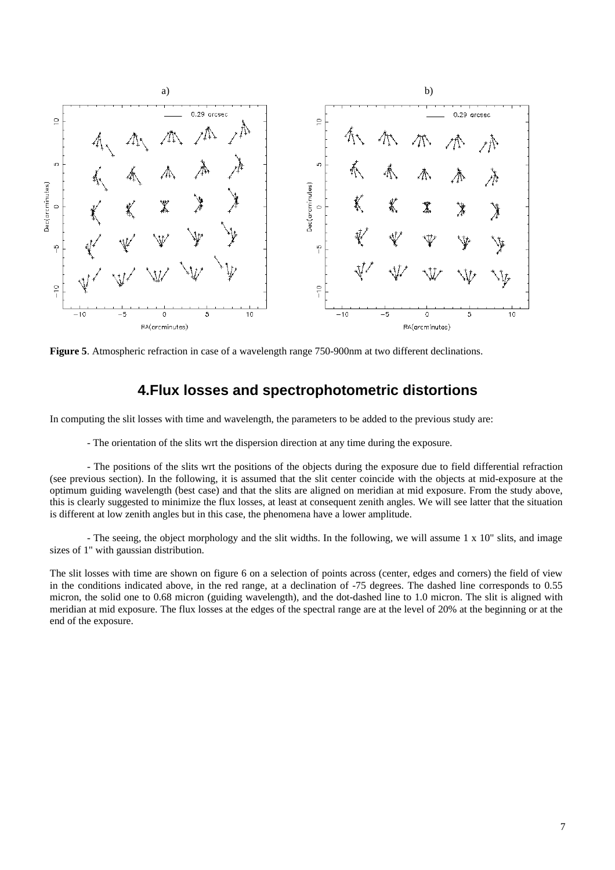

**Figure 5**. Atmospheric refraction in case of a wavelength range 750-900nm at two different declinations.

#### **4.Flux losses and spectrophotometric distortions**

In computing the slit losses with time and wavelength, the parameters to be added to the previous study are:

- The orientation of the slits wrt the dispersion direction at any time during the exposure.

- The positions of the slits wrt the positions of the objects during the exposure due to field differential refraction (see previous section). In the following, it is assumed that the slit center coincide with the objects at mid-exposure at the optimum guiding wavelength (best case) and that the slits are aligned on meridian at mid exposure. From the study above, this is clearly suggested to minimize the flux losses, at least at consequent zenith angles. We will see latter that the situation is different at low zenith angles but in this case, the phenomena have a lower amplitude.

- The seeing, the object morphology and the slit widths. In the following, we will assume  $1 \times 10$ " slits, and image sizes of 1" with gaussian distribution.

The slit losses with time are shown on figure 6 on a selection of points across (center, edges and corners) the field of view in the conditions indicated above, in the red range, at a declination of -75 degrees. The dashed line corresponds to 0.55 micron, the solid one to 0.68 micron (guiding wavelength), and the dot-dashed line to 1.0 micron. The slit is aligned with meridian at mid exposure. The flux losses at the edges of the spectral range are at the level of 20% at the beginning or at the end of the exposure.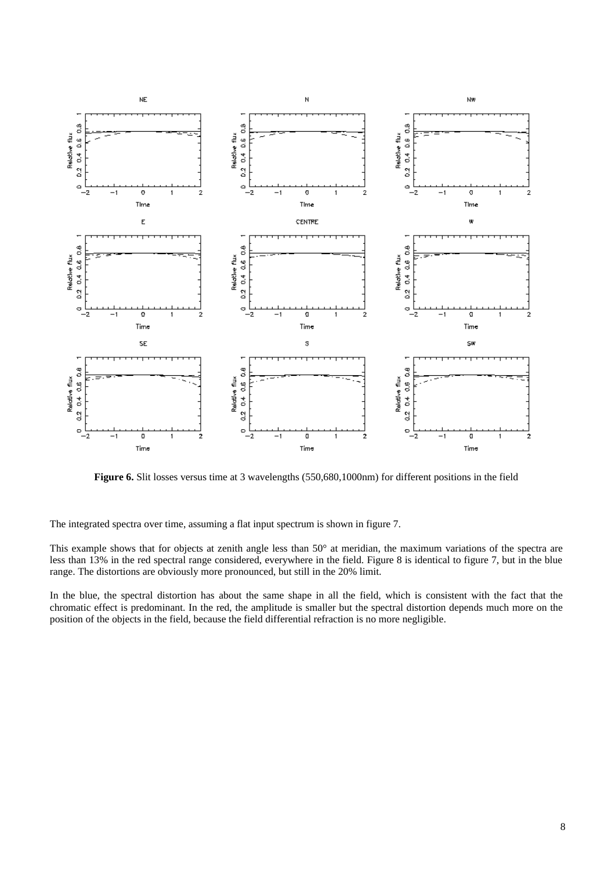

Figure 6. Slit losses versus time at 3 wavelengths (550,680,1000nm) for different positions in the field

The integrated spectra over time, assuming a flat input spectrum is shown in figure 7.

This example shows that for objects at zenith angle less than 50° at meridian, the maximum variations of the spectra are less than 13% in the red spectral range considered, everywhere in the field. Figure 8 is identical to figure 7, but in the blue range. The distortions are obviously more pronounced, but still in the 20% limit.

In the blue, the spectral distortion has about the same shape in all the field, which is consistent with the fact that the chromatic effect is predominant. In the red, the amplitude is smaller but the spectral distortion depends much more on the position of the objects in the field, because the field differential refraction is no more negligible.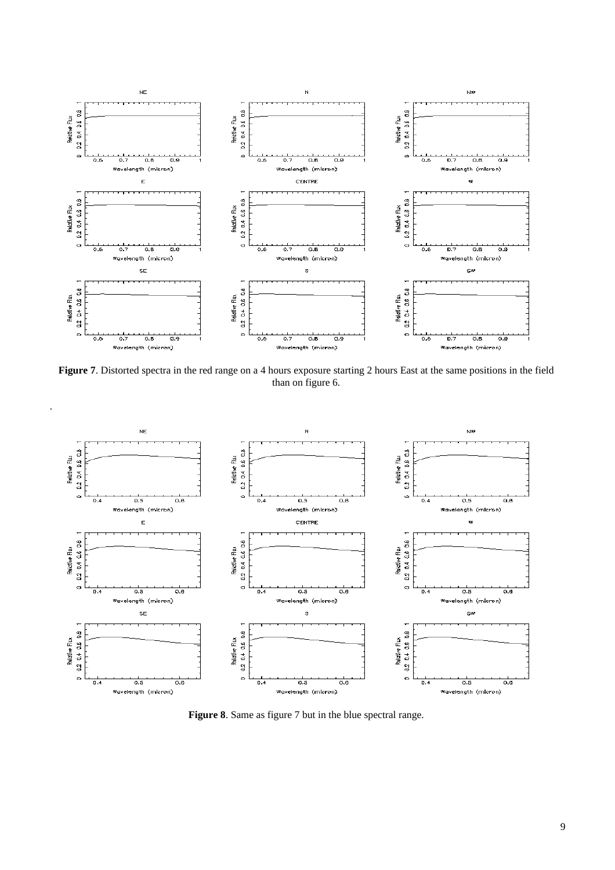

**Figure 7**. Distorted spectra in the red range on a 4 hours exposure starting 2 hours East at the same positions in the field than on figure 6.

.



**Figure 8**. Same as figure 7 but in the blue spectral range.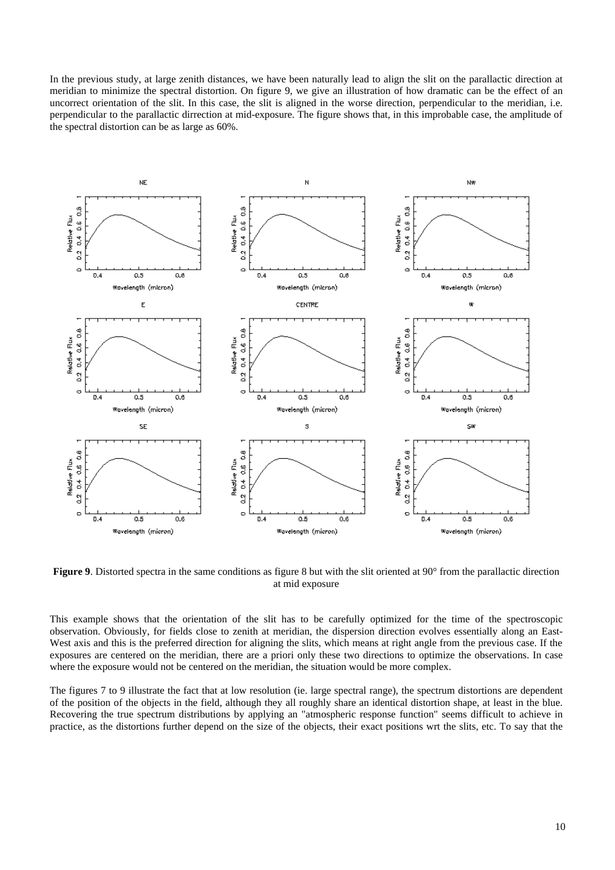In the previous study, at large zenith distances, we have been naturally lead to align the slit on the parallactic direction at meridian to minimize the spectral distortion. On figure 9, we give an illustration of how dramatic can be the effect of an uncorrect orientation of the slit. In this case, the slit is aligned in the worse direction, perpendicular to the meridian, i.e. perpendicular to the parallactic dirrection at mid-exposure. The figure shows that, in this improbable case, the amplitude of the spectral distortion can be as large as 60%.



**Figure 9.** Distorted spectra in the same conditions as figure 8 but with the slit oriented at 90° from the parallactic direction at mid exposure

This example shows that the orientation of the slit has to be carefully optimized for the time of the spectroscopic observation. Obviously, for fields close to zenith at meridian, the dispersion direction evolves essentially along an East-West axis and this is the preferred direction for aligning the slits, which means at right angle from the previous case. If the exposures are centered on the meridian, there are a priori only these two directions to optimize the observations. In case where the exposure would not be centered on the meridian, the situation would be more complex.

The figures 7 to 9 illustrate the fact that at low resolution (ie. large spectral range), the spectrum distortions are dependent of the position of the objects in the field, although they all roughly share an identical distortion shape, at least in the blue. Recovering the true spectrum distributions by applying an "atmospheric response function" seems difficult to achieve in practice, as the distortions further depend on the size of the objects, their exact positions wrt the slits, etc. To say that the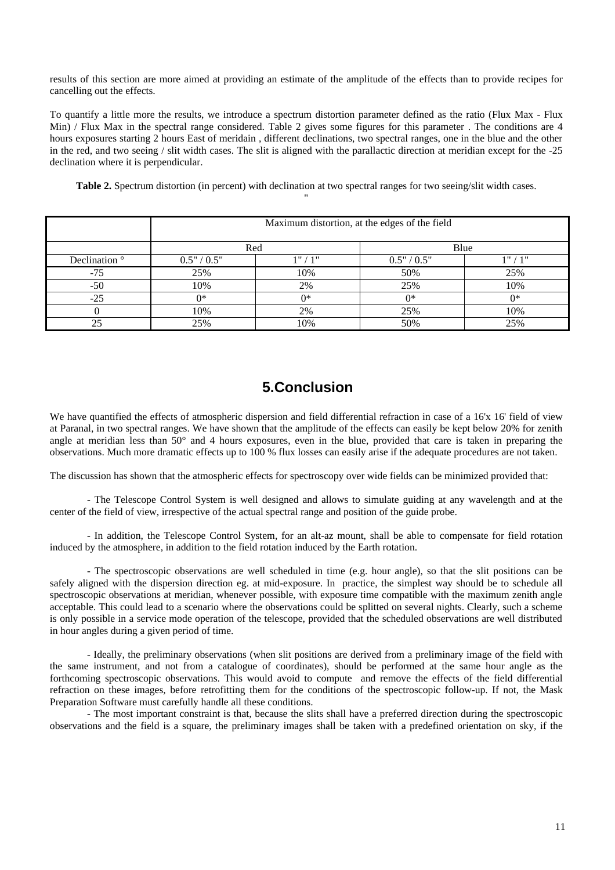results of this section are more aimed at providing an estimate of the amplitude of the effects than to provide recipes for cancelling out the effects.

To quantify a little more the results, we introduce a spectrum distortion parameter defined as the ratio (Flux Max - Flux Min) / Flux Max in the spectral range considered. Table 2 gives some figures for this parameter . The conditions are 4 hours exposures starting 2 hours East of meridain , different declinations, two spectral ranges, one in the blue and the other in the red, and two seeing / slit width cases. The slit is aligned with the parallactic direction at meridian except for the -25 declination where it is perpendicular.

**Table 2.** Spectrum distortion (in percent) with declination at two spectral ranges for two seeing/slit width cases. "

|                          | Maximum distortion, at the edges of the field |         |             |       |  |
|--------------------------|-----------------------------------------------|---------|-------------|-------|--|
|                          | Red                                           |         | Blue        |       |  |
| Declination <sup>o</sup> | 0.5" / 0.5"                                   | 1" / 1" | 0.5" / 0.5" | 1"/1" |  |
| $-75$                    | 25%                                           | 10%     | 50%         | 25%   |  |
| $-50$                    | 10%                                           | 2%      | 25%         | 10%   |  |
| $-25$                    | $0*$                                          | ∩*      | $0*$        | ∩*    |  |
|                          | 10%                                           | 2%      | 25%         | 10%   |  |
| 25                       | 25%                                           | 10%     | 50%         | 25%   |  |

#### **5.Conclusion**

We have quantified the effects of atmospheric dispersion and field differential refraction in case of a 16'x 16' field of view at Paranal, in two spectral ranges. We have shown that the amplitude of the effects can easily be kept below 20% for zenith angle at meridian less than  $50^{\circ}$  and 4 hours exposures, even in the blue, provided that care is taken in preparing the observations. Much more dramatic effects up to 100 % flux losses can easily arise if the adequate procedures are not taken.

The discussion has shown that the atmospheric effects for spectroscopy over wide fields can be minimized provided that:

- The Telescope Control System is well designed and allows to simulate guiding at any wavelength and at the center of the field of view, irrespective of the actual spectral range and position of the guide probe.

- In addition, the Telescope Control System, for an alt-az mount, shall be able to compensate for field rotation induced by the atmosphere, in addition to the field rotation induced by the Earth rotation.

- The spectroscopic observations are well scheduled in time (e.g. hour angle), so that the slit positions can be safely aligned with the dispersion direction eg. at mid-exposure. In practice, the simplest way should be to schedule all spectroscopic observations at meridian, whenever possible, with exposure time compatible with the maximum zenith angle acceptable. This could lead to a scenario where the observations could be splitted on several nights. Clearly, such a scheme is only possible in a service mode operation of the telescope, provided that the scheduled observations are well distributed in hour angles during a given period of time.

- Ideally, the preliminary observations (when slit positions are derived from a preliminary image of the field with the same instrument, and not from a catalogue of coordinates), should be performed at the same hour angle as the forthcoming spectroscopic observations. This would avoid to compute and remove the effects of the field differential refraction on these images, before retrofitting them for the conditions of the spectroscopic follow-up. If not, the Mask Preparation Software must carefully handle all these conditions.

- The most important constraint is that, because the slits shall have a preferred direction during the spectroscopic observations and the field is a square, the preliminary images shall be taken with a predefined orientation on sky, if the